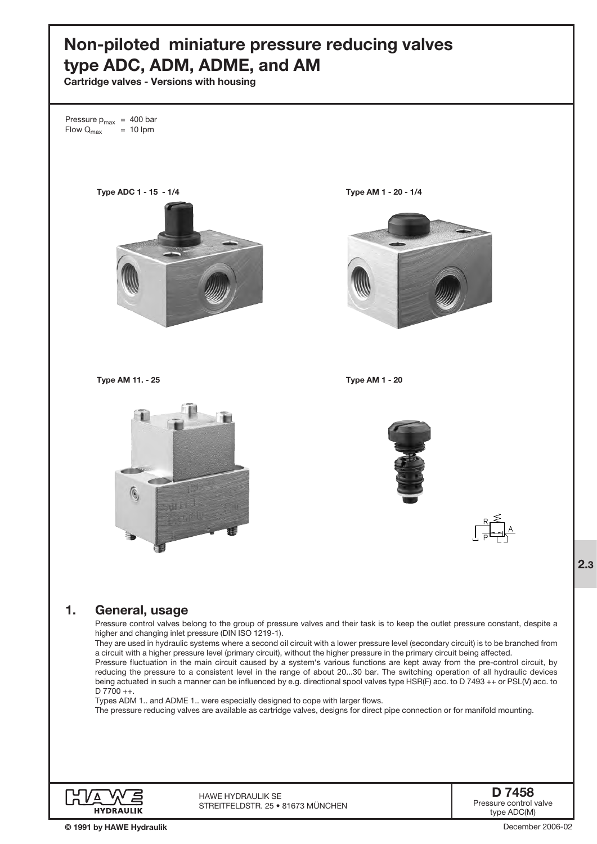# Non-piloted miniature pressure reducing valves type ADC, ADM, ADME, and AM

Cartridge valves - Versions with housing

Pressure  $p_{max}$  = 400 bar<br>Flow  $Q_{max}$  = 10 lpm Flow  $Q_{\text{max}}$ Type ADC 1 - 15 - 1/4 Type AM 1 - 20 - 1/4 Type AM 11. - 25 Type AM 1 - 20  $\circ$ **HHT** 1. General, usage Pressure control valves belong to the group of pressure valves and their task is to keep the outlet pressure constant, despite a higher and changing inlet pressure (DIN ISO 1219-1). They are used in hydraulic systems where a second oil circuit with a lower pressure level (secondary circuit) is to be branched from a circuit with a higher pressure level (primary circuit), without the higher pressure in the primary circuit being affected. Pressure fluctuation in the main circuit caused by a system's various functions are kept away from the pre-control circuit, by reducing the pressure to a consistent level in the range of about 20...30 bar. The switching operation of all hydraulic devices being actuated in such a manner can be influenced by e.g. directional spool valves type HSR(F) acc. to D 7493 ++ or PSL(V) acc. to D 7700 ++. Types ADM 1.. and ADME 1.. were especially designed to cope with larger flows. The pressure reducing valves are available as cartridge valves, designs for direct pipe connection or for manifold mounting. D 7458 HAWE Hydraulik SE

STREITFELDSTR. 25 • 81673 MÜNCHEN

© 1991 by HAWE Hydraulik

**HYDRAULIK** 

Pressure control valve type ADC(M)

December 2006-02

2.3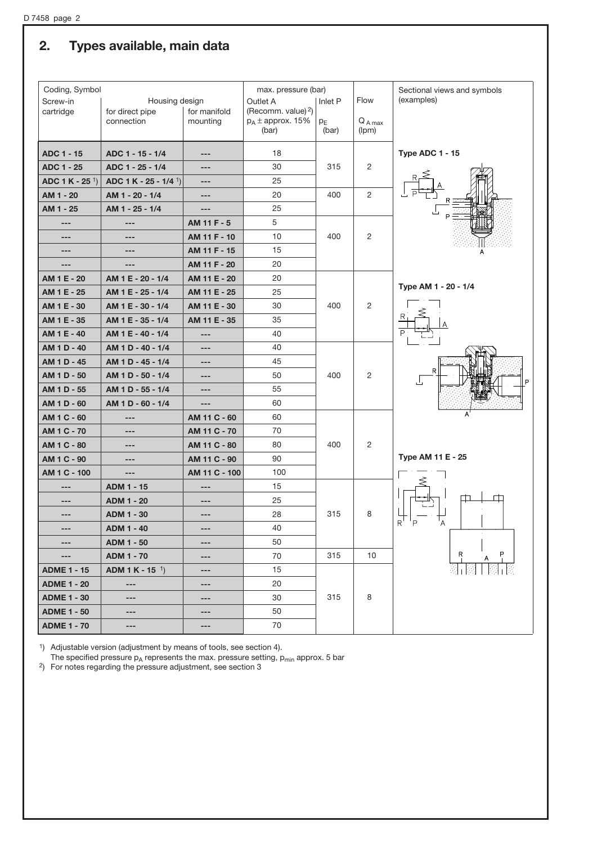# 2. Types available, main data

| Coding, Symbol<br>Housing design |                                    |               | max. pressure (bar)               |         | Flow           | Sectional views and symbols<br>(examples) |  |  |
|----------------------------------|------------------------------------|---------------|-----------------------------------|---------|----------------|-------------------------------------------|--|--|
| Screw-in<br>cartridge            | for direct pipe                    | for manifold  | Outlet A<br>(Recomm. value) $2$ ) | Inlet P |                |                                           |  |  |
|                                  | connection                         | mounting      | $p_A \pm$ approx. 15%             | $p_{E}$ | $Q_{A max}$    |                                           |  |  |
|                                  |                                    |               | (bar)                             | (bar)   | (lpm)          |                                           |  |  |
| <b>ADC 1 - 15</b>                | ADC 1 - 15 - 1/4                   | ---           | 18                                |         |                | Type ADC 1 - 15                           |  |  |
| <b>ADC 1 - 25</b>                | ADC 1 - 25 - 1/4                   | ---           | 30                                | 315     | 2              |                                           |  |  |
| ADC 1 K - 25 <sup>1</sup> )      | ADC 1 K - 25 - 1/4 <sup>1</sup> )  | ---           | 25                                |         |                |                                           |  |  |
| AM 1 - 20                        | AM 1 - 20 - 1/4                    | ---           | 20                                | 400     | $\overline{2}$ |                                           |  |  |
| AM 1 - 25                        | AM 1 - 25 - 1/4                    | $---$         | 25                                |         |                |                                           |  |  |
| ---                              | ---                                | AM 11 F - 5   | 5                                 |         |                |                                           |  |  |
| ---                              | ---                                | AM 11 F - 10  | 10                                | 400     | 2              |                                           |  |  |
| ---                              | ---                                | AM 11 F - 15  | 15                                |         |                | А                                         |  |  |
| ---                              | ---                                | AM 11 F - 20  | 20                                |         |                |                                           |  |  |
| AM 1 E - 20                      | AM 1 E - 20 - 1/4                  | AM 11 E - 20  | 20                                |         |                |                                           |  |  |
| AM 1 E - 25                      | AM 1 E - 25 - 1/4                  | AM 11 E - 25  | 25                                |         |                | Type AM 1 - 20 - 1/4                      |  |  |
| AM 1 E - 30                      | AM 1 E - 30 - 1/4                  | AM 11 E - 30  | 30                                | 400     | 2              |                                           |  |  |
| AM 1 E - 35                      | AM 1 E - 35 - 1/4                  | AM 11 E - 35  | 35                                |         |                |                                           |  |  |
| AM 1 E - 40                      | AM 1 E - 40 - 1/4                  | ---           | 40                                |         |                |                                           |  |  |
| AM 1 D - 40                      | AM 1 D - 40 - 1/4                  | ---           | 40                                |         |                |                                           |  |  |
| AM 1 D - 45                      | AM 1 D - 45 - 1/4                  | ---           | 45                                |         |                |                                           |  |  |
| AM 1 D - 50                      | AM 1 D - 50 - 1/4                  | ---           | 50                                | 400     | 2              | R<br>ىل<br>l P                            |  |  |
| AM 1 D - 55                      | AM 1 D - 55 - 1/4                  | ---           | 55                                |         |                |                                           |  |  |
| AM 1 D - 60                      | AM 1 D - 60 - 1/4                  | ---           | 60                                |         |                |                                           |  |  |
| AM 1 C - 60                      | ---                                | AM 11 C - 60  | 60                                |         |                | A                                         |  |  |
| AM 1 C - 70                      | ---                                | AM 11 C - 70  | 70                                |         |                |                                           |  |  |
| AM 1 C - 80                      | ---                                | AM 11 C - 80  | 80                                | 400     | 2              |                                           |  |  |
| AM 1 C - 90                      | ---                                | AM 11 C - 90  | 90                                |         |                | Type AM 11 E - 25                         |  |  |
| AM 1 C - 100                     | ---                                | AM 11 C - 100 | 100                               |         |                |                                           |  |  |
| ---                              | ADM 1 - 15                         | ---           | 15                                |         |                |                                           |  |  |
| ---                              | ADM 1 - 20                         | ---           | 25                                |         |                |                                           |  |  |
| ---                              | <b>ADM 1 - 30</b>                  | ---           | 28                                | 315     | 8              | P                                         |  |  |
|                                  | <b>ADM 1 - 40</b>                  |               | 40                                |         |                | R                                         |  |  |
| $---$                            | <b>ADM 1 - 50</b>                  | ---           | 50                                |         |                |                                           |  |  |
| ---                              | <b>ADM 1 - 70</b>                  | ---           | 70                                | 315     | 10             | P.<br>$\overline{R}$                      |  |  |
| <b>ADME 1 - 15</b>               | <b>ADM 1 K - 15</b> <sup>1</sup> ) | ---           | 15                                |         |                |                                           |  |  |
| <b>ADME 1 - 20</b>               | $---$                              | ---           | 20                                |         |                |                                           |  |  |
| <b>ADME 1 - 30</b>               | ---                                | ---           | 30                                | 315     | 8              |                                           |  |  |
| <b>ADME 1 - 50</b>               | ---                                | ---           | 50                                |         |                |                                           |  |  |
| <b>ADME 1 - 70</b>               | ---                                | ---           | 70                                |         |                |                                           |  |  |

<sup>1</sup>) Adjustable version (adjustment by means of tools, see section 4).

The specified pressure  $p_A$  represents the max. pressure setting,  $p_{min}$  approx. 5 bar 2) For notes regarding the pressure adjustment, see section 3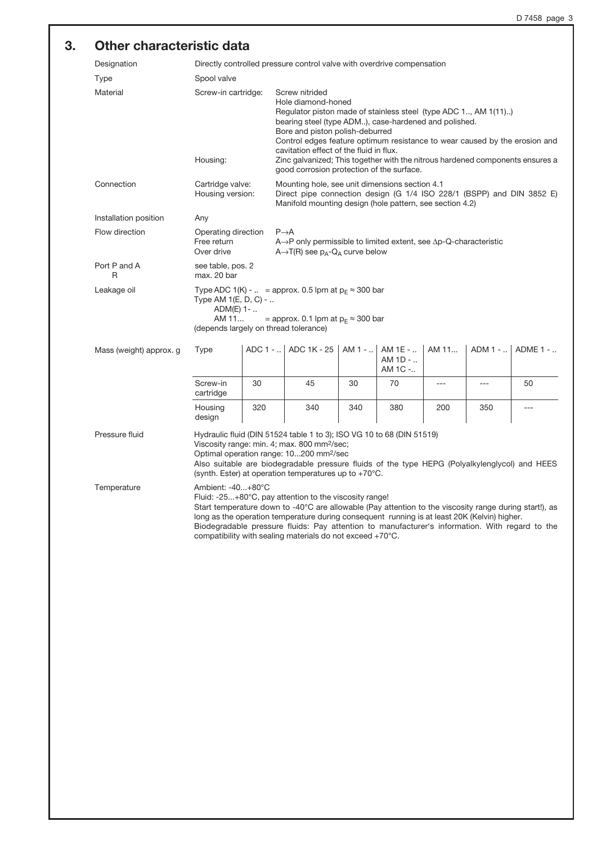## 3. Other characteristic data

| Designation                | Directly controlled pressure control valve with overdrive compensation                                                                                                                                                                                                                                                                                                                                                                                         |                   |                                                                                                                                                                                                                                                                                                                                                                                                                                                            |          |                               |       |         |          |  |  |
|----------------------------|----------------------------------------------------------------------------------------------------------------------------------------------------------------------------------------------------------------------------------------------------------------------------------------------------------------------------------------------------------------------------------------------------------------------------------------------------------------|-------------------|------------------------------------------------------------------------------------------------------------------------------------------------------------------------------------------------------------------------------------------------------------------------------------------------------------------------------------------------------------------------------------------------------------------------------------------------------------|----------|-------------------------------|-------|---------|----------|--|--|
| <b>Type</b><br>Spool valve |                                                                                                                                                                                                                                                                                                                                                                                                                                                                |                   |                                                                                                                                                                                                                                                                                                                                                                                                                                                            |          |                               |       |         |          |  |  |
| Material                   | Screw-in cartridge:<br>Housing:                                                                                                                                                                                                                                                                                                                                                                                                                                |                   | Screw nitrided<br>Hole diamond-honed<br>Regulator piston made of stainless steel (type ADC 1, AM 1(11))<br>bearing steel (type ADM), case-hardened and polished.<br>Bore and piston polish-deburred<br>Control edges feature optimum resistance to wear caused by the erosion and<br>cavitation effect of the fluid in flux.<br>Zinc galvanized; This together with the nitrous hardened components ensures a<br>good corrosion protection of the surface. |          |                               |       |         |          |  |  |
| Connection                 | Cartridge valve:<br>Housing version:                                                                                                                                                                                                                                                                                                                                                                                                                           |                   | Mounting hole, see unit dimensions section 4.1<br>Direct pipe connection design (G 1/4 ISO 228/1 (BSPP) and DIN 3852 E)<br>Manifold mounting design (hole pattern, see section 4.2)                                                                                                                                                                                                                                                                        |          |                               |       |         |          |  |  |
| Installation position      | Any                                                                                                                                                                                                                                                                                                                                                                                                                                                            |                   |                                                                                                                                                                                                                                                                                                                                                                                                                                                            |          |                               |       |         |          |  |  |
| Flow direction             | Operating direction<br>Free return<br>Over drive                                                                                                                                                                                                                                                                                                                                                                                                               |                   | $P\rightarrow A$<br>$A \rightarrow P$ only permissible to limited extent, see $\Delta p$ -Q-characteristic<br>$A \rightarrow T(R)$ see $p_A - Q_A$ curve below                                                                                                                                                                                                                                                                                             |          |                               |       |         |          |  |  |
| Port P and A<br>R          | max. 20 bar                                                                                                                                                                                                                                                                                                                                                                                                                                                    | see table, pos. 2 |                                                                                                                                                                                                                                                                                                                                                                                                                                                            |          |                               |       |         |          |  |  |
| Leakage oil                | Type ADC 1(K) -  = approx. 0.5 lpm at $p_E \approx 300$ bar<br>Type AM 1(E, D, C) -<br>$ADM(E)$ 1-<br>AM 11<br>= approx. 0.1 lpm at $p_F \approx 300$ bar<br>(depends largely on thread tolerance)                                                                                                                                                                                                                                                             |                   |                                                                                                                                                                                                                                                                                                                                                                                                                                                            |          |                               |       |         |          |  |  |
| Mass (weight) approx. g    | <b>Type</b>                                                                                                                                                                                                                                                                                                                                                                                                                                                    |                   | ADC 1 -    ADC 1K - 25                                                                                                                                                                                                                                                                                                                                                                                                                                     | $AM1 - $ | AM 1E -<br>AM 1D -<br>AM 1C - | AM 11 | ADM 1 - | ADME 1 - |  |  |
|                            | Screw-in<br>cartridge                                                                                                                                                                                                                                                                                                                                                                                                                                          | 30                | 45                                                                                                                                                                                                                                                                                                                                                                                                                                                         | 30       | 70                            | ---   | ---     | 50       |  |  |
|                            | Housing<br>design                                                                                                                                                                                                                                                                                                                                                                                                                                              | 320               | 340                                                                                                                                                                                                                                                                                                                                                                                                                                                        | 340      | 380                           | 200   | 350     | $ -$     |  |  |
| Pressure fluid             | Hydraulic fluid (DIN 51524 table 1 to 3); ISO VG 10 to 68 (DIN 51519)<br>Viscosity range: min. 4; max. 800 mm <sup>2</sup> /sec;<br>Optimal operation range: 10200 mm <sup>2</sup> /sec<br>Also suitable are biodegradable pressure fluids of the type HEPG (Polyalkylenglycol) and HEES<br>(synth. Ester) at operation temperatures up to $+70^{\circ}$ C.                                                                                                    |                   |                                                                                                                                                                                                                                                                                                                                                                                                                                                            |          |                               |       |         |          |  |  |
| Temperature                | Ambient: -40+80°C<br>Fluid: -25+80°C, pay attention to the viscosity range!<br>Start temperature down to -40°C are allowable (Pay attention to the viscosity range during start!), as<br>long as the operation temperature during consequent running is at least 20K (Kelvin) higher.<br>Biodegradable pressure fluids: Pay attention to manufacturer's information. With regard to the<br>compatibility with sealing materials do not exceed $+70^{\circ}$ C. |                   |                                                                                                                                                                                                                                                                                                                                                                                                                                                            |          |                               |       |         |          |  |  |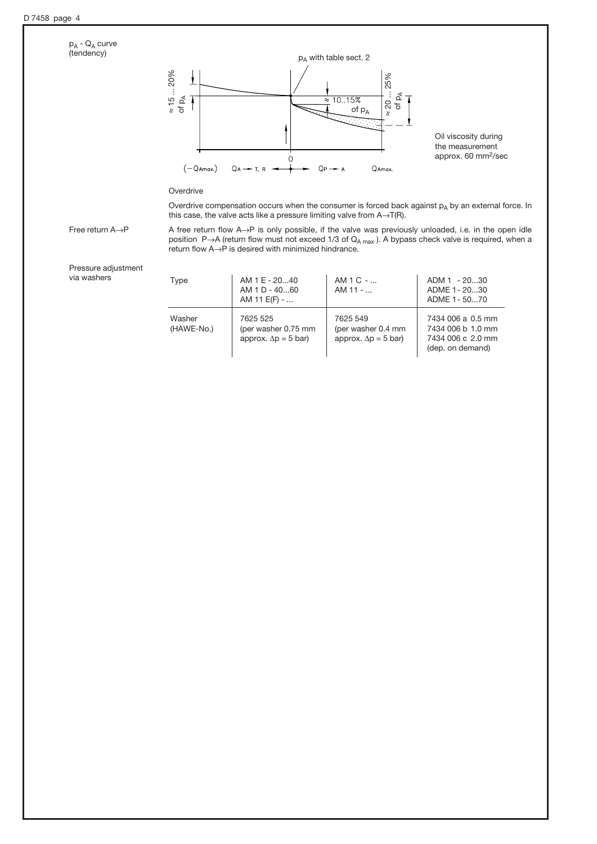

Pressure adjustment via washers

| Type                 | AM 1 E - 2040<br>$AM1D - 4060$<br>AM 11 E(F) -                  | $AM1C - $<br>$AM 11 - $                                        | ADM 1 - 2030<br>ADME 1 - 2030<br>ADME 1 - 5070                                  |
|----------------------|-----------------------------------------------------------------|----------------------------------------------------------------|---------------------------------------------------------------------------------|
| Washer<br>(HAWE-No.) | 7625 525<br>(per washer 0.75 mm)<br>approx. $\Delta p = 5$ bar) | 7625 549<br>(per washer 0.4 mm)<br>approx. $\Delta p = 5$ bar) | 7434 006 a 0.5 mm<br>7434 006 b 1.0 mm<br>7434 006 c 2.0 mm<br>(dep. on demand) |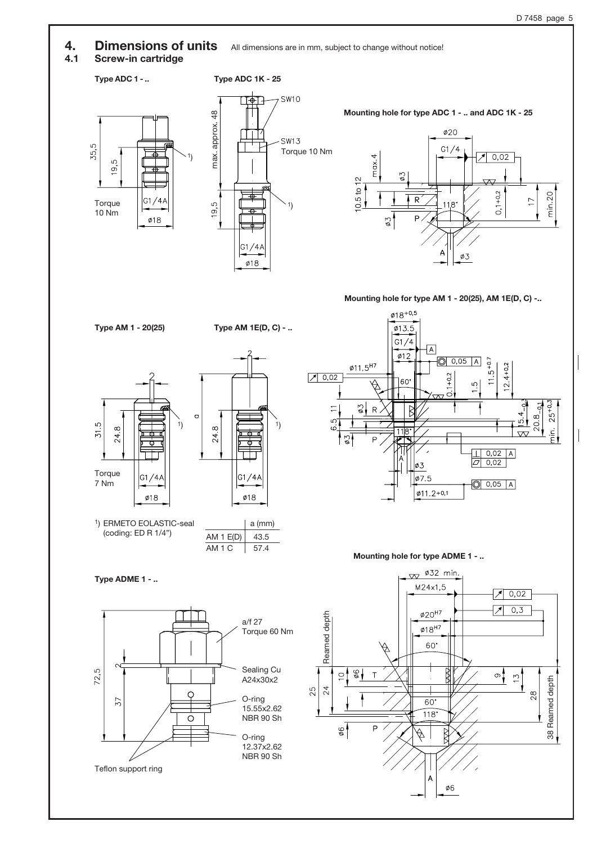$G1/4A$ 

 $\emptyset$ 18

4. Dimensions of units All dimensions are in mm, subject to change without notice!

## 4.1 Screw-in cartridge

## Type ADC 1 - ..

**Torque** 10 Nm

ഗ  $\overline{9}$ 

35,5



Mounting hole for type ADC 1 - .. and ADC 1K - 25



### Mounting hole for type AM 1 - 20(25), AM 1E(D, C) -..





1) ERMETO EOLASTIC-seal (coding: ED R 1/4")

Type AM 1 - 20(25) Type AM 1E(D, C) - ..



Type ADME 1 - ..